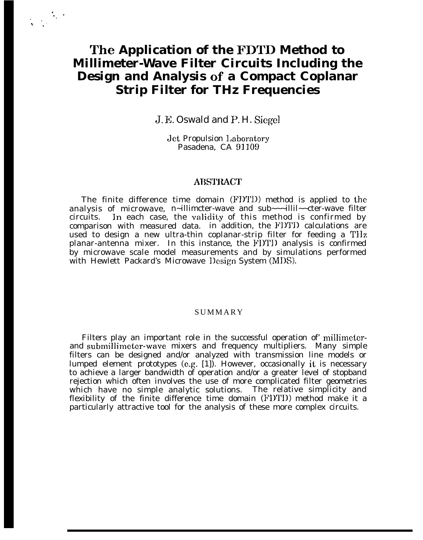# **The Application of the FDTD Method to Millimeter-Wave Filter Circuits Including the Design and Analysis of a Compact Coplanar Strip Filter for THz Frequencies**

 $\ddot{\cdot}$  .

.,. %.'

J. E. Oswald and P. H. Siegel

Jet Propulsion I,aboratory Pasadena, CA 91109

#### **ABSTRACT**

The finite difference time domain (FIY1'D) method is applied to the analysis of microwave, n~illimcter-wave and sub~~~illil~~cter-wave filter circuits. In each case, the validity of this method is confirmed by comparison with measured data. in addition, the FDTD calculations are used to design a new ultra-thin coplanar-strip filter for feeding a TIIz planar-antenna mixer. In this instance, the FIY1'D analysis is confirmed by microwave scale model measurements and by simulations performed with Hewlett Packard's Microwave Design System (MDS).

#### SUMMARY

Filters play an important role in the successful operation of millimeterand submillimeter-wave mixers and frequency multipliers. Many simple filters can be designed and/or analyzed with transmission line models or lumped element prototypes (e.g. [1]). However, occasionally it is necessary to achieve a larger bandwidth of operation and/or a greater level of stopband rejection which often involves the use of more complicated filter geometries which have no simple analytic solutions. The relative simplicity and flexibility of the finite difference time domain (FDTD) method make it a particularly attractive tool for the analysis of these more complex circuits.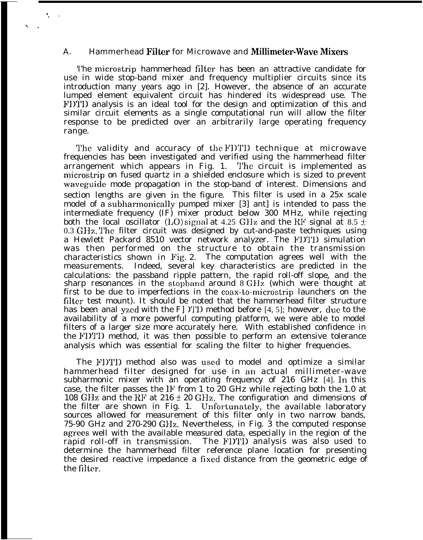## A. Hammerhead Filter for Microwave and MiUhneter-Wave Mixens

. .,

> 'l'he microstrip hammerhead filter has been an attractive candidate for use in wide stop-band mixer and frequency multiplier circuits since its introduction many years ago in [2]. However, the absence of an accurate lumped element equivalent circuit has hindered its widespread use. The FDTI] analysis is an ideal tool for the design and optimization of this and similar circuit elements as a single computational run will allow the filter response to be predicted over an arbitrarily large operating frequency range.

> The validity and accuracy of the FDTD technique at microwave frequencies has been investigated and verified using the hammerhead filter arrangement which appears in Fig. 1. The circuit is implemented as microstrip on fused quartz in a shielded enclosure which is sized to prevent waveguide mode propagation in the stop-band of interest. Dimensions and section lengths are given in the figure. This filter is used in a 25x scale model of a subharmonically pumped mixer [3] ant] is intended to pass the intermediate frequency (IF) mixer product below 300 MHz, while rejecting both the local oscillator (LO) signal at 4.25 GHz and the RF signal at 8.5  $\pm$  $0.3$  GHz. The filter circuit was designed by cut-and-paste techniques using a Hewlett Packard 8510 vector network analyzer. The Fl)'1'1) simulation was then performed on the structure to obtain the transmission characteristics shown in Fig. 2. The computation agrees well with the measurements. Indeed, several key characteristics are predicted in the calculations: the passband ripple pattern, the rapid roll-off slope, and the sharp resonances in the stopband around  $8 \text{ GHz}$  (which were thought at first to be due to imperfections in the coax-to-microstrip launchers on the filter test mount). It should be noted that the hammerhead filter structure has been anal yzed with the F] *YI'D* method before [4, 5]; however, due to the availability of a more powerful computing platform, we were able to model filters of a larger size more accurately here. With established confidence in the FIYJ'1) method, it was then possible to perform an extensive tolerance analysis which was essential for scaling the filter to higher frequencies.

> The FI)TI) method also was used to model and optimize a similar hammerhead filter designed for use in an actual millimeter-wave subharmonic mixer with an operating frequency of  $216$  GHz  $[4]$ . In this case, the filter passes the IF from 1 to 20 GHz while rejecting both the 1.0 at 108 GHz and the RF at  $216 \pm 20$  GHz. The configuration and dimensions of the filter are shown in Fig. 1. Unfortunately, the available laboratory sources allowed for measurement of this filter only in two narrow bands, 75-90 GHz and 270-290 GHz. Nevertheless, in Fig. 3 the computed response agrees well with the available measured data, especially in the region of the rapid roll-off in transmission. The FDTD analysis was also used to determine the hammerhead filter reference plane location for presenting the desired reactive impedance a fixed distance from the geometric edge of the filter.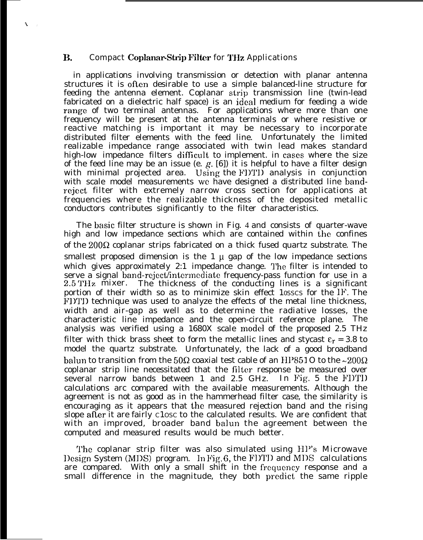### B. Compact Coplanar-Strip Filter for THz Applications

 $\mathbf{v}$ 

in applications involving transmission or detection with planar antenna structures it is often desirable to use a simple balanced-line structure for feeding the antenna element. Coplanar strip transmission line (twin-lead fabricated on a dielectric half space) is an ideal medium for feeding a wide range of two terminal antennas. For applications where more than one frequency will be present at the antenna terminals or where resistive or reactive matching is important it may be necessary to incorporate distributed filter elements with the feed line. Unfortunately the limited realizable impedance range associated with twin lead makes standard high-low impedance filters difficult to implement. in cases where the size of the feed line may be an issue (e.  $g$ . [6]) it is helpful to have a filter design with minimal projected area. Using the FDTD analysis in conjunction with scale model measurements we have designed a distributed line bandrcject filter with extremely narrow cross section for applications at frequencies where the realizable thickness of the deposited metallic conductors contributes significantly to the filter characteristics.

The basic filter structure is shown in Fig. 4 and consists of quarter-wave high and low impedance sections which are contained within the confines of the  $200\Omega$  coplanar strips fabricated on a thick fused quartz substrate. The smallest proposed dimension is the  $1 \mu$  gap of the low impedance sections which gives approximately 2:1 impedance change. The filter is intended to serve a signal band-reject/intermediate frequency-pass function for use in a 2.5 THz mixer. The thickness of the conducting lines is a significant portion of their width so as to minimize skin effect 10SSCS for the IF. The FI)TI) technique was used to analyze the effects of the metal line thickness, width and air-gap as well as to determine the radiative losses, the characteristic line impedance and the open-circuit reference plane. The analysis was verified using a 1680X scale model of the proposed 2.5 THz filter with thick brass sheet to form the metallic lines and stycast  $\varepsilon_r = 3.8$  to model the quartz substrate. Unfortunately, the lack of a good broadband balun to transition from the 50 $\Omega$  coaxial test cable of an HP851O to the ~200 $\Omega$ coplanar strip line necessitated that the filter response be measured over several narrow bands between 1 and 2.5 GHz. In Fig. 5 the FIYII calculations arc compared with the available measurements. Although the agreement is not as good as in the hammerhead filter case, the similarity is encouraging as it appears that the measured rejection band and the rising slope afler it are fairly C1OSC to the calculated results. We are confident that with an improved, broader band balun the agreement between the computed and measured results would be much better.

The coplanar strip filter was also simulated using HP's Microwave l)csign System (MDS) program. In Fig. 6, the FDTD and MDS calculations are compared. With only a small shift in the frequency response and a small difference in the magnitude, they both predict the same ripple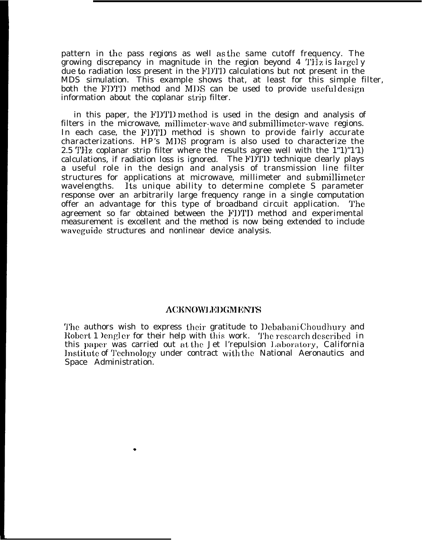pattern in the pass regions as well as the same cutoff frequency. The growing discrepancy in magnitude in the region beyond  $4$  THz is largely due to radiation loss present in the FI)T1) calculations but not present in the MDS simulation. This example shows that, at least for this simple filter, both the FDTD method and MDS can be used to provide useful design information about the coplanar strip filter.

in this paper, the FDTD method is used in the design and analysis of filters in the microwave, millimeter-wave and submillimeter-wave regions. In each case, the FDTD method is shown to provide fairly accurate characterizations. HP's MI)S program is also used to characterize the 2.5 THz coplanar strip filter where the results agree well with the 1"1)"1'1) calculations, if radiation loss is ignored. The FI)TJ) technique clearly plays a useful role in the design and analysis of transmission line filter structures for applications at microwave, millimeter and submillimeter wavelengths. Its unique ability to determine complete S parameter response over an arbitrarily large frequency range in a single computation offer an advantage for this type of broadband circuit application. The agreement so far obtained between the FI)TD method and experimental measurement is excellent and the method is now being extended to include waveguide structures and nonlinear device analysis.

### ACKNOWLEDGMENTS

'J'he authors wish to express their gratitude to l)ebabani Choudhury and Robert 1 )engler for their help with this work. The research described in this paper was carried out at the Jet l'repulsion Laboratory, California Institute of Technology under contract with the National Aeronautics and Space Administration.

\*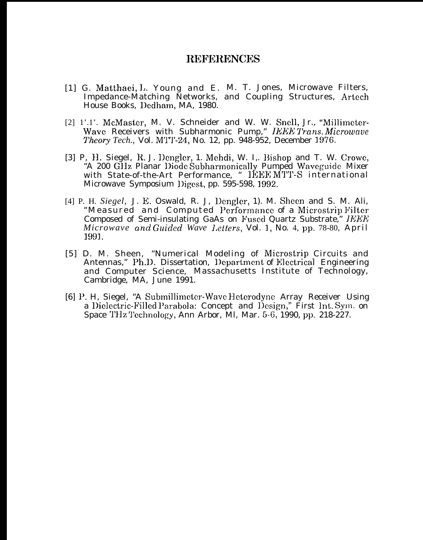# **REFERENCES**

- [1] G. Matthaei, L. Young and E. M. T. Jones, Microwave Filters. Impedance-Matching Networks, and Coupling Structures, Artech House Books, Dedham, MA, 1980.
- [2] 1'.1'. McMaster, M. V. Schneider and W. W. Snell, Jr., "Millimeter-Wave Receivers with Subharmonic Pump," IEEE Trans. Microwave Theory Tech., Vol. MTT-24, No. 12, pp. 948-952, December 1976.
- [3] P, H. Siegel, R. J. Dengler, 1. Mehdi, W. I., Bishop and T. W. Crowe, "A 200 GHz Planar Diode Subharmonically Pumped Waveguide Mixer with State-of-the-Art Performance, " IEEE MTT-S international Microwave Symposium Digest, pp. 595-598, 1992.
- [4] P. H. Siegel, J. E. Oswald, R. J. Dengler, 1). M. Sheen and S. M. Ali, "Measured and Computed Performance of a Microstrip Filter Composed of Semi-insulating GaAs on Fused Quartz Substrate," IEEE Microwave and Guided Wave Letters, Vol. 1, No. 4, pp. 78-80, April 1991.
- [5] D. M. Sheen, "Numerical Modeling of Microstrip Circuits and Antennas," Ph.D. Dissertation, Department of Electrical Engineering and Computer Science, Massachusetts Institute of Technology, Cambridge, MA, June 1991.
- [6] P. H. Siegel, "A Submillimeter-Wave Heterodyne Array Receiver Using a Dielectric-Filled Parabola: Concept and Design," First Int. Sym. on Space THz Technology, Ann Arbor, Ml, Mar. 5-6, 1990, pp. 218-227.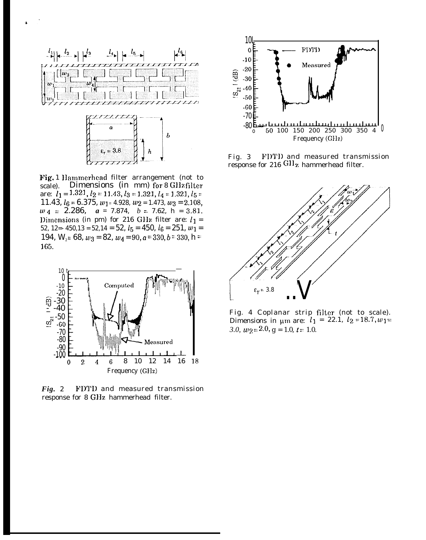

Fig. 1 IIammerhead filter arrangement (not to scale). Dimensions (in mm) for 8 Gl1z filter are:  $l_1 = 1.321, l_2 = 11.43, l_3 = 1.321, l_4 = 1.321, l_5 =$ 11.43,  $l_6 = 6.375$ ,  $w_1 = 4.928$ ,  $w_2 = 1.473$ ,  $w_3 = 2.108$ , UJ4 <sup>=</sup> 2.286, *a =* 7.874, *b =* 7.62, h = 3.81. Dimensions (in pm) for 216 GHz filter are:  $l_1$  = 52, 12= $-$  450,13 = 52,14 = 52,  $l_5$  = 450,  $l_6$  = 251,  $w_1$  = 194,  $W_0 = 68$ ,  $w_3 = 82$ ,  $w_4 = 90$ ,  $a = 330$ ,  $b = 330$ ,  $h =$ )65.



*Fig.* 2 FDTD and measured transmission response for 8 GHz hammerhead filter.



Fig. 3 FIY1'D and measured transmission response for  $216$  GHz hammerhead filter.



Fig. 4 Coplanar strip filter (not to scale). Dimensions in  $\mu$ m are:  $l_1 = 22.1, l_2 = 18.7, w_1 =$ *3.0,*  $w_{2} = 2.0$ ,  $g = 1.0$ ,  $t = 1.0$ .